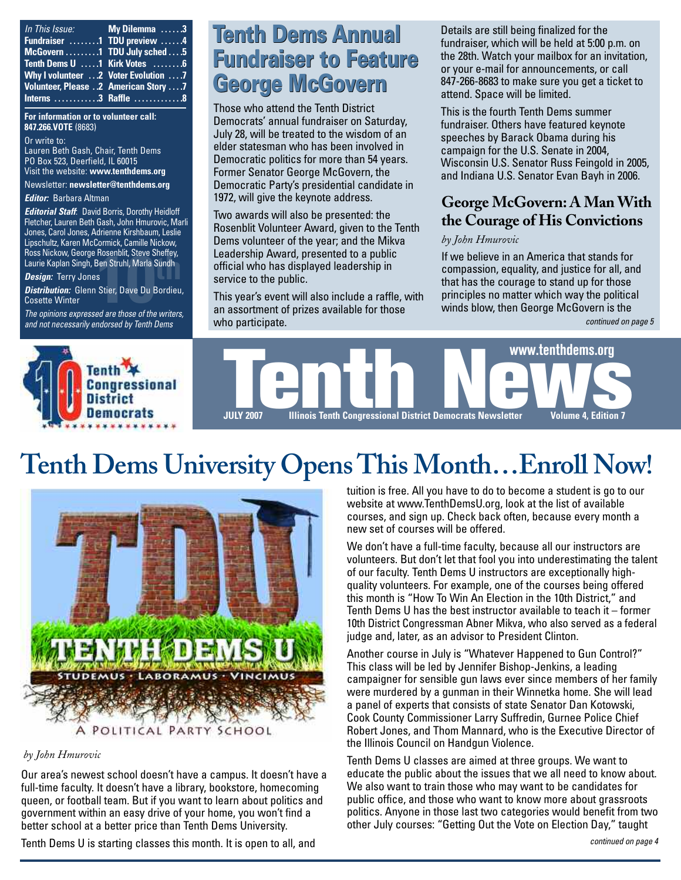| In This Issue: My Dilemma 3             |                    |
|-----------------------------------------|--------------------|
| Fundraiser 1 TDU preview 4              |                    |
| McGovern 1 TDU July sched  5            |                    |
| Tenth Dems U 1 Kirk Votes 6             |                    |
| Why I volunteer  2 Voter Evolution  . 7 |                    |
| Volunteer, Please 2 American Story 7    |                    |
|                                         | Interns 3 Raffle 8 |

#### **For information or to volunteer call: 847.266.VOTE** (8683)

Or write to: Lauren Beth Gash, Chair, Tenth Dems PO Box 523, Deerfield, IL 60015 Visit the website: **[www.tenthdems.org](http://www.tenthdems.org)** 

Newsletter: **[newsletter@tenthdems.org](mailto:newsletter@tenthdems.org)**

#### *Editor:* Barbara Altman

*Editorial Staff*: David Borris, Dorothy Heidloff Fletcher, Lauren Beth Gash, John Hmurovic, Marli Jones, Carol Jones, Adrienne Kirshbaum, Leslie Lipschultz, Karen McCormick, Camille Nickow, Ross Nickow, George Rosenblit, Steve Sheffey, Laurie Kaplan Singh, Ben Struhl, Marla Sundh

#### *Design:* Terry Jones

Rosenblit, Steve Sheffey,<br>Ben Struhl, Marla Sundh<br>s<br>Stier, Dave Du Bordieu<br><sup>ad are those of the writers</sup> *Distribution:* Glenn Stier, Dave Du Bordieu, Cosette Winter

*The opinions expressed are those of the writers, and not necessarily endorsed by Tenth Dems*

# **Tenth Dems Annual Tenth Dems Annual Fundraiser to Feature George McGovern**

Those who attend the Tenth District Democrats' annual fundraiser on Saturday, July 28, will be treated to the wisdom of an elder statesman who has been involved in Democratic politics for more than 54 years. Former Senator George McGovern, the Democratic Party's presidential candidate in 1972, will give the keynote address.

Two awards will also be presented: the Rosenblit Volunteer Award, given to the Tenth Dems volunteer of the year; and the Mikva Leadership Award, presented to a public official who has displayed leadership in service to the public.

This year's event will also include a raffle, with an assortment of prizes available for those who participate.

Details are still being finalized for the fundraiser, which will be held at 5:00 p.m. on the 28th. Watch your mailbox for an invitation, or your e-mail for announcements, or call 847-266-8683 to make sure you get a ticket to attend. Space will be limited.

This is the fourth Tenth Dems summer fundraiser. Others have featured keynote speeches by Barack Obama during his campaign for the U.S. Senate in 2004, Wisconsin U.S. Senator Russ Feingold in 2005, and Indiana U.S. Senator Evan Bayh in 2006.

## **George McGovern: A Man With the Courage of His Convictions**

#### *by John Hmurovic*

If we believe in an America that stands for compassion, equality, and justice for all, and that has the courage to stand up for those principles no matter which way the political winds blow, then George McGovern is the

*continued on page 5*



# **Tenth Dems University Opens This Month…Enroll Now!**



#### *by John Hmurovic*

Our area's newest school doesn't have a campus. It doesn't have a full-time faculty. It doesn't have a library, bookstore, homecoming queen, or football team. But if you want to learn about politics and government within an easy drive of your home, you won't find a better school at a better price than Tenth Dems University.

Tenth Dems U is starting classes this month. It is open to all, and

tuition is free. All you have to do to become a student is go to our website at [www.TenthDemsU.org,](http://www.TenthDemsU.org) look at the list of available courses, and sign up. Check back often, because every month a new set of courses will be offered.

We don't have a full-time faculty, because all our instructors are volunteers. But don't let that fool you into underestimating the talent of our faculty. Tenth Dems U instructors are exceptionally highquality volunteers. For example, one of the courses being offered this month is "How To Win An Election in the 10th District," and Tenth Dems U has the best instructor available to teach it – former 10th District Congressman Abner Mikva, who also served as a federal judge and, later, as an advisor to President Clinton.

Another course in July is "Whatever Happened to Gun Control?" This class will be led by Jennifer Bishop-Jenkins, a leading campaigner for sensible gun laws ever since members of her family were murdered by a gunman in their Winnetka home. She will lead a panel of experts that consists of state Senator Dan Kotowski, Cook County Commissioner Larry Suffredin, Gurnee Police Chief Robert Jones, and Thom Mannard, who is the Executive Director of the Illinois Council on Handgun Violence.

Tenth Dems U classes are aimed at three groups. We want to educate the public about the issues that we all need to know about. We also want to train those who may want to be candidates for public office, and those who want to know more about grassroots politics. Anyone in those last two categories would benefit from two other July courses: "Getting Out the Vote on Election Day," taught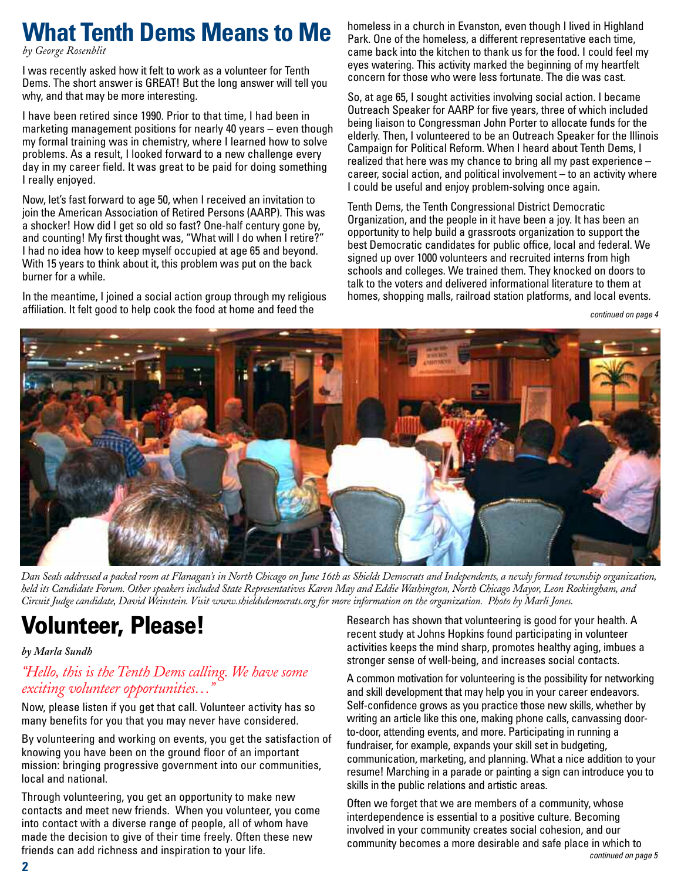# **What Tenth Dems Means to Me**

*by George Rosenblit* 

I was recently asked how it felt to work as a volunteer for Tenth Dems. The short answer is GREAT! But the long answer will tell you why, and that may be more interesting.

I have been retired since 1990. Prior to that time, I had been in marketing management positions for nearly 40 years – even though my formal training was in chemistry, where I learned how to solve problems. As a result, I looked forward to a new challenge every day in my career field. It was great to be paid for doing something I really enjoyed.

Now, let's fast forward to age 50, when I received an invitation to join the American Association of Retired Persons (AARP). This was a shocker! How did I get so old so fast? One-half century gone by, and counting! My first thought was, "What will I do when I retire?" I had no idea how to keep myself occupied at age 65 and beyond. With 15 years to think about it, this problem was put on the back burner for a while.

In the meantime, I joined a social action group through my religious affiliation. It felt good to help cook the food at home and feed the

homeless in a church in Evanston, even though I lived in Highland Park. One of the homeless, a different representative each time, came back into the kitchen to thank us for the food. I could feel my eyes watering. This activity marked the beginning of my heartfelt concern for those who were less fortunate. The die was cast.

So, at age 65, I sought activities involving social action. I became Outreach Speaker for AARP for five years, three of which included being liaison to Congressman John Porter to allocate funds for the elderly. Then, I volunteered to be an Outreach Speaker for the Illinois Campaign for Political Reform. When I heard about Tenth Dems, I realized that here was my chance to bring all my past experience – career, social action, and political involvement – to an activity where I could be useful and enjoy problem-solving once again.

Tenth Dems, the Tenth Congressional District Democratic Organization, and the people in it have been a joy. It has been an opportunity to help build a grassroots organization to support the best Democratic candidates for public office, local and federal. We signed up over 1000 volunteers and recruited interns from high schools and colleges. We trained them. They knocked on doors to talk to the voters and delivered informational literature to them at homes, shopping malls, railroad station platforms, and local events.

*continued on page 4*



*Dan Seals addressed a packed room at Flanagan's in North Chicago on June 16th as Shields Democrats and Independents, a newly formed township organization, held its Candidate Forum. Other speakers included State Representatives Karen May and Eddie Washington, North Chicago Mayor, Leon Rockingham, and Circuit Judge candidate, David Weinstein. Visit [www.shieldsdemocrats.org for](http://www.shieldsdemocrats.org) more information on the organization. Photo by Marli Jones.*

# **Volunteer, Please!**

#### *by Marla Sundh*

## *"Hello, this is the Tenth Dems calling. We have some exciting volunteer opportunities…"*

Now, please listen if you get that call. Volunteer activity has so many benefits for you that you may never have considered.

By volunteering and working on events, you get the satisfaction of knowing you have been on the ground floor of an important mission: bringing progressive government into our communities, local and national.

Through volunteering, you get an opportunity to make new contacts and meet new friends. When you volunteer, you come into contact with a diverse range of people, all of whom have made the decision to give of their time freely. Often these new friends can add richness and inspiration to your life.

Research has shown that volunteering is good for your health. A recent study at Johns Hopkins found participating in volunteer activities keeps the mind sharp, promotes healthy aging, imbues a stronger sense of well-being, and increases social contacts.

A common motivation for volunteering is the possibility for networking and skill development that may help you in your career endeavors. Self-confidence grows as you practice those new skills, whether by writing an article like this one, making phone calls, canvassing doorto-door, attending events, and more. Participating in running a fundraiser, for example, expands your skill set in budgeting, communication, marketing, and planning. What a nice addition to your resume! Marching in a parade or painting a sign can introduce you to skills in the public relations and artistic areas.

Often we forget that we are members of a community, whose interdependence is essential to a positive culture. Becoming involved in your community creates social cohesion, and our community becomes a more desirable and safe place in which to *continued on page 5*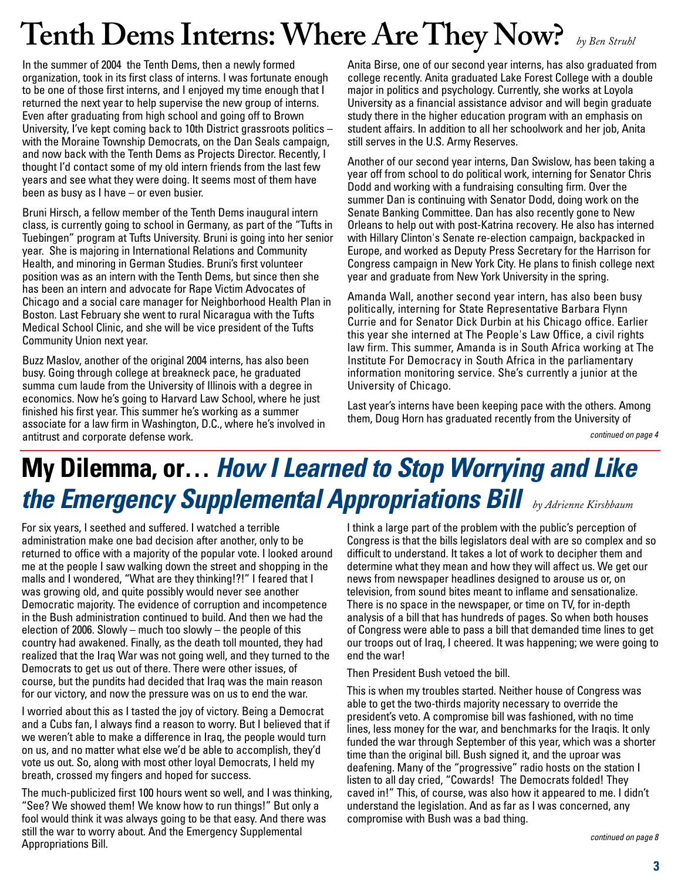# **Tenth Dems Interns: Where Are They Now?** *by Ben Struhl*

In the summer of 2004 the Tenth Dems, then a newly formed organization, took in its first class of interns. I was fortunate enough to be one of those first interns, and I enjoyed my time enough that I returned the next year to help supervise the new group of interns. Even after graduating from high school and going off to Brown University, I've kept coming back to 10th District grassroots politics – with the Moraine Township Democrats, on the Dan Seals campaign, and now back with the Tenth Dems as Projects Director. Recently, I thought I'd contact some of my old intern friends from the last few years and see what they were doing. It seems most of them have been as busy as I have – or even busier.

Bruni Hirsch, a fellow member of the Tenth Dems inaugural intern class, is currently going to school in Germany, as part of the "Tufts in Tuebingen" program at Tufts University. Bruni is going into her senior year. She is majoring in International Relations and Community Health, and minoring in German Studies. Bruni's first volunteer position was as an intern with the Tenth Dems, but since then she has been an intern and advocate for Rape Victim Advocates of Chicago and a social care manager for Neighborhood Health Plan in Boston. Last February she went to rural Nicaragua with the Tufts Medical School Clinic, and she will be vice president of the Tufts Community Union next year.

Buzz Maslov, another of the original 2004 interns, has also been busy. Going through college at breakneck pace, he graduated summa cum laude from the University of Illinois with a degree in economics. Now he's going to Harvard Law School, where he just finished his first year. This summer he's working as a summer associate for a law firm in Washington, D.C., where he's involved in antitrust and corporate defense work.

Anita Birse, one of our second year interns, has also graduated from college recently. Anita graduated Lake Forest College with a double major in politics and psychology. Currently, she works at Loyola University as a financial assistance advisor and will begin graduate study there in the higher education program with an emphasis on student affairs. In addition to all her schoolwork and her job, Anita still serves in the U.S. Army Reserves.

Another of our second year interns, Dan Swislow, has been taking a year off from school to do political work, interning for Senator Chris Dodd and working with a fundraising consulting firm. Over the summer Dan is continuing with Senator Dodd, doing work on the Senate Banking Committee. Dan has also recently gone to New Orleans to help out with post-Katrina recovery. He also has interned with Hillary Clinton's Senate re-election campaign, backpacked in Europe, and worked as Deputy Press Secretary for the Harrison for Congress campaign in New York City. He plans to finish college next year and graduate from New York University in the spring.

Amanda Wall, another second year intern, has also been busy politically, interning for State Representative Barbara Flynn Currie and for Senator Dick Durbin at his Chicago office. Earlier this year she interned at The People's Law Office, a civil rights law firm. This summer, Amanda is in South Africa working at The Institute For Democracy in South Africa in the parliamentary information monitoring service. She's currently a junior at the University of Chicago.

Last year's interns have been keeping pace with the others. Among them, Doug Horn has graduated recently from the University of

*continued on page 4*

# **My Dilemma, or…** *How I Learned to Stop Worrying and Like the Emergency Supplemental Appropriations Bill by Adrienne Kirshbaum*

For six years, I seethed and suffered. I watched a terrible administration make one bad decision after another, only to be returned to office with a majority of the popular vote. I looked around me at the people I saw walking down the street and shopping in the malls and I wondered, "What are they thinking!?!" I feared that I was growing old, and quite possibly would never see another Democratic majority. The evidence of corruption and incompetence in the Bush administration continued to build. And then we had the election of 2006. Slowly – much too slowly – the people of this country had awakened. Finally, as the death toll mounted, they had realized that the Iraq War was not going well, and they turned to the Democrats to get us out of there. There were other issues, of course, but the pundits had decided that Iraq was the main reason for our victory, and now the pressure was on us to end the war.

I worried about this as I tasted the joy of victory. Being a Democrat and a Cubs fan, I always find a reason to worry. But I believed that if we weren't able to make a difference in Iraq, the people would turn on us, and no matter what else we'd be able to accomplish, they'd vote us out. So, along with most other loyal Democrats, I held my breath, crossed my fingers and hoped for success.

The much-publicized first 100 hours went so well, and I was thinking, "See? We showed them! We know how to run things!" But only a fool would think it was always going to be that easy. And there was still the war to worry about. And the Emergency Supplemental Appropriations Bill.

I think a large part of the problem with the public's perception of Congress is that the bills legislators deal with are so complex and so difficult to understand. It takes a lot of work to decipher them and determine what they mean and how they will affect us. We get our news from newspaper headlines designed to arouse us or, on television, from sound bites meant to inflame and sensationalize. There is no space in the newspaper, or time on TV, for in-depth analysis of a bill that has hundreds of pages. So when both houses of Congress were able to pass a bill that demanded time lines to get our troops out of Iraq, I cheered. It was happening; we were going to end the war!

Then President Bush vetoed the bill.

This is when my troubles started. Neither house of Congress was able to get the two-thirds majority necessary to override the president's veto. A compromise bill was fashioned, with no time lines, less money for the war, and benchmarks for the Iraqis. It only funded the war through September of this year, which was a shorter time than the original bill. Bush signed it, and the uproar was deafening. Many of the "progressive" radio hosts on the station I listen to all day cried, "Cowards! The Democrats folded! They caved in!" This, of course, was also how it appeared to me. I didn't understand the legislation. And as far as I was concerned, any compromise with Bush was a bad thing.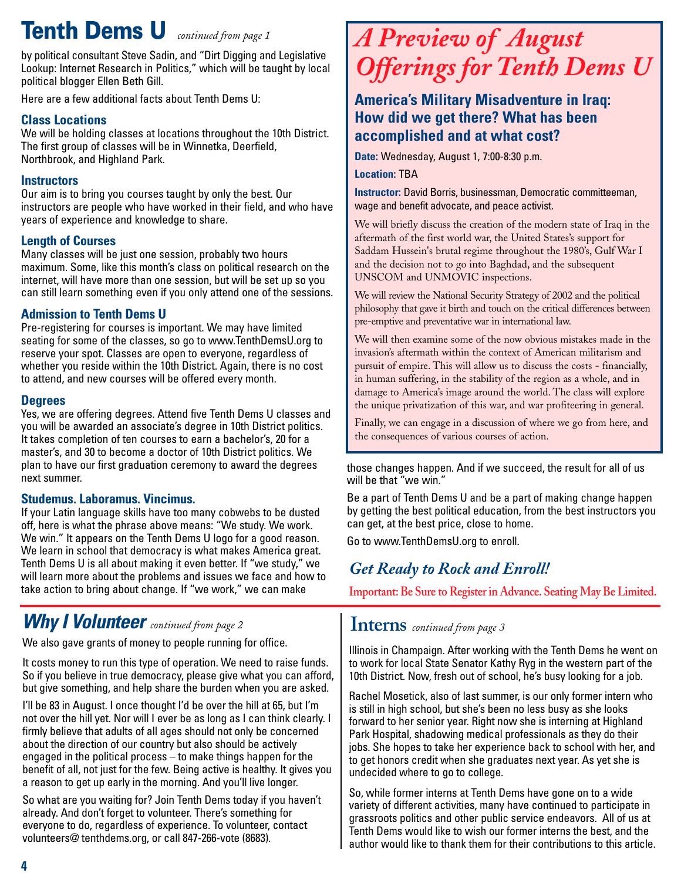# **Tenth Dems U** *continued from page 1*

by political consultant Steve Sadin, and "Dirt Digging and Legislative Lookup: Internet Research in Politics," which will be taught by local political blogger Ellen Beth Gill.

Here are a few additional facts about Tenth Dems U:

### **Class Locations**

We will be holding classes at locations throughout the 10th District. The first group of classes will be in Winnetka, Deerfield, Northbrook, and Highland Park.

#### **Instructors**

Our aim is to bring you courses taught by only the best. Our instructors are people who have worked in their field, and who have years of experience and knowledge to share.

### **Length of Courses**

Many classes will be just one session, probably two hours maximum. Some, like this month's class on political research on the internet, will have more than one session, but will be set up so you can still learn something even if you only attend one of the sessions.

### **Admission to Tenth Dems U**

Pre-registering for courses is important. We may have limited seating for some of the classes, so go to [www.TenthDemsU.org to](http://www.TenthDemsU.org) reserve your spot. Classes are open to everyone, regardless of whether you reside within the 10th District. Again, there is no cost to attend, and new courses will be offered every month.

#### **Degrees**

Yes, we are offering degrees. Attend five Tenth Dems U classes and you will be awarded an associate's degree in 10th District politics. It takes completion of ten courses to earn a bachelor's, 20 for a master's, and 30 to become a doctor of 10th District politics. We plan to have our first graduation ceremony to award the degrees next summer.

#### **Studemus. Laboramus. Vincimus.**

If your Latin language skills have too many cobwebs to be dusted off, here is what the phrase above means: "We study. We work. We win." It appears on the Tenth Dems U logo for a good reason. We learn in school that democracy is what makes America great. Tenth Dems U is all about making it even better. If "we study," we will learn more about the problems and issues we face and how to take action to bring about change. If "we work," we can make

## *Why I Volunteer continued from page 2*

We also gave grants of money to people running for office.

It costs money to run this type of operation. We need to raise funds. So if you believe in true democracy, please give what you can afford, but give something, and help share the burden when you are asked.

I'll be 83 in August. I once thought I'd be over the hill at 65, but I'm not over the hill yet. Nor will I ever be as long as I can think clearly. I firmly believe that adults of all ages should not only be concerned about the direction of our country but also should be actively engaged in the political process – to make things happen for the benefit of all, not just for the few. Being active is healthy. It gives you a reason to get up early in the morning. And you'll live longer.

So what are you waiting for? Join Tenth Dems today if you haven't already. And don't forget to volunteer. There's something for everyone to do, regardless of experience. To volunteer, contact volunteers@ tenthdems.org, or call 847-266-vote (8683).

# *A Preview of August Offerings for Tenth Dems U*

### **America's Military Misadventure in Iraq: How did we get there? What has been accomplished and at what cost?**

**Date:** Wednesday, August 1, 7:00-8:30 p.m.

**Location:** TBA

**Instructor:** David Borris, businessman, Democratic committeeman, wage and benefit advocate, and peace activist.

We will briefly discuss the creation of the modern state of Iraq in the aftermath of the first world war, the United States's support for Saddam Hussein's brutal regime throughout the 1980's, Gulf War I and the decision not to go into Baghdad, and the subsequent UNSCOM and UNMOVIC inspections.

We will review the National Security Strategy of 2002 and the political philosophy that gave it birth and touch on the critical differences between pre-emptive and preventative war in international law.

We will then examine some of the now obvious mistakes made in the invasion's aftermath within the context of American militarism and pursuit of empire. This will allow us to discuss the costs - financially, in human suffering, in the stability of the region as a whole, and in damage to America's image around the world. The class will explore the unique privatization of this war, and war profiteering in general.

Finally, we can engage in a discussion of where we go from here, and the consequences of various courses of action.

those changes happen. And if we succeed, the result for all of us will be that "we win."

Be a part of Tenth Dems U and be a part of making change happen by getting the best political education, from the best instructors you can get, at the best price, close to home.

Go to [www.TenthDemsU.org to](http://www.TenthDemsU.org) enroll.

## *Get Ready to Rock and Enroll!*

**Important: Be Sure to Register in Advance. Seating May Be Limited.**

### **Interns** *continued from page <sup>3</sup>*

Illinois in Champaign. After working with the Tenth Dems he went on to work for local State Senator Kathy Ryg in the western part of the 10th District. Now, fresh out of school, he's busy looking for a job.

Rachel Mosetick, also of last summer, is our only former intern who is still in high school, but she's been no less busy as she looks forward to her senior year. Right now she is interning at Highland Park Hospital, shadowing medical professionals as they do their jobs. She hopes to take her experience back to school with her, and to get honors credit when she graduates next year. As yet she is undecided where to go to college.

So, while former interns at Tenth Dems have gone on to a wide variety of different activities, many have continued to participate in grassroots politics and other public service endeavors. All of us at Tenth Dems would like to wish our former interns the best, and the author would like to thank them for their contributions to this article.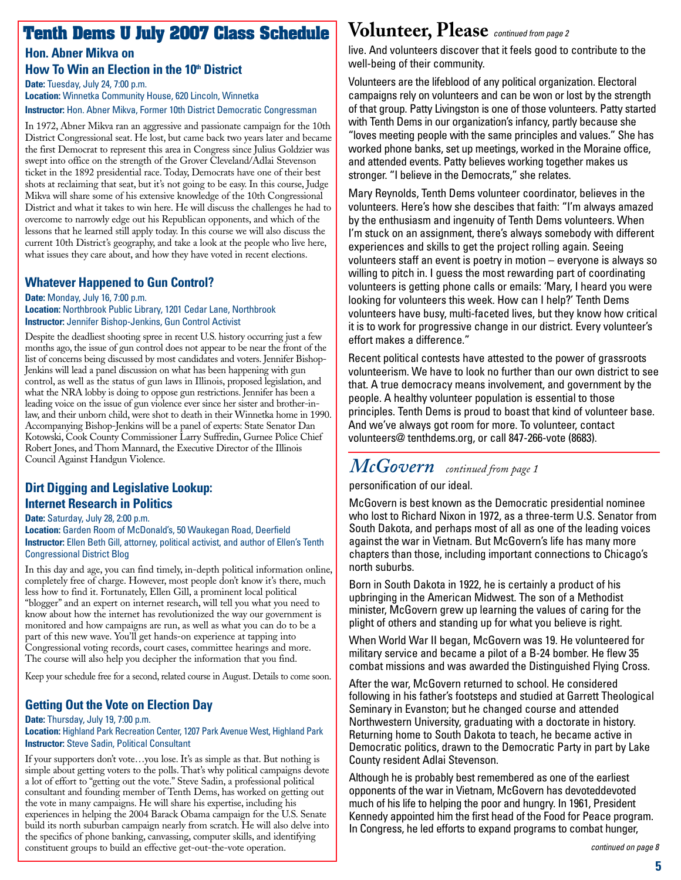## **Tenth Dems U July 2007 Class Schedule**

**Hon. Abner Mikva on How To Win an Election in the 10<sup>th</sup> District** 

**Date:** Tuesday, July 24, 7:00 p.m. **Location:** Winnetka Community House, 620 Lincoln, Winnetka **Instructor:** Hon. Abner Mikva, Former 10th District Democratic Congressman

In 1972, Abner Mikva ran an aggressive and passionate campaign for the 10th District Congressional seat. He lost, but came back two years later and became the first Democrat to represent this area in Congress since Julius Goldzier was swept into office on the strength of the Grover Cleveland/Adlai Stevenson ticket in the 1892 presidential race. Today, Democrats have one of their best shots at reclaiming that seat, but it's not going to be easy. In this course, Judge Mikva will share some of his extensive knowledge of the 10th Congressional District and what it takes to win here. He will discuss the challenges he had to overcome to narrowly edge out his Republican opponents, and which of the lessons that he learned still apply today. In this course we will also discuss the current 10th District's geography, and take a look at the people who live here, what issues they care about, and how they have voted in recent elections.

### **Whatever Happened to Gun Control?**

**Date:** Monday, July 16, 7:00 p.m. **Location:** Northbrook Public Library, 1201 Cedar Lane, Northbrook **Instructor:** Jennifer Bishop-Jenkins, Gun Control Activist

Despite the deadliest shooting spree in recent U.S. history occurring just a few months ago, the issue of gun control does not appear to be near the front of the list of concerns being discussed by most candidates and voters. Jennifer Bishop-Jenkins will lead a panel discussion on what has been happening with gun control, as well as the status of gun laws in Illinois, proposed legislation, and what the NRA lobby is doing to oppose gun restrictions. Jennifer has been a leading voice on the issue of gun violence ever since her sister and brother-inlaw, and their unborn child, were shot to death in their Winnetka home in 1990. Accompanying Bishop-Jenkins will be a panel of experts: State Senator Dan Kotowski, Cook County Commissioner Larry Suffredin, Gurnee Police Chief Robert Jones, and Thom Mannard, the Executive Director of the Illinois Council Against Handgun Violence.

### **Dirt Digging and Legislative Lookup: Internet Research in Politics**

**Date:** Saturday, July 28, 2:00 p.m.

**Location:** Garden Room of McDonald's, 50 Waukegan Road, Deerfield **Instructor:** Ellen Beth Gill, attorney, political activist, and author of Ellen's Tenth Congressional District Blog

In this day and age, you can find timely, in-depth political information online, completely free of charge. However, most people don't know it's there, much less how to find it. Fortunately, Ellen Gill, a prominent local political "blogger" and an expert on internet research, will tell you what you need to know about how the internet has revolutionized the way our government is monitored and how campaigns are run, as well as what you can do to be a part of this new wave. You'll get hands-on experience at tapping into Congressional voting records, court cases, committee hearings and more. The course will also help you decipher the information that you find.

Keep your schedule free for a second, related course in August. Details to come soon.

### **Getting Out the Vote on Election Day**

#### **Date:** Thursday, July 19, 7:00 p.m.

**Location:** Highland Park Recreation Center, 1207 Park Avenue West, Highland Park **Instructor:** Steve Sadin, Political Consultant

If your supporters don't vote…you lose. It's as simple as that. But nothing is simple about getting voters to the polls. That's why political campaigns devote a lot of effort to "getting out the vote." Steve Sadin, a professional political consultant and founding member of Tenth Dems, has worked on getting out the vote in many campaigns. He will share his expertise, including his experiences in helping the 2004 Barack Obama campaign for the U.S. Senate build its north suburban campaign nearly from scratch. He will also delve into the specifics of phone banking, canvassing, computer skills, and identifying constituent groups to build an effective get-out-the-vote operation.

## **Volunteer, Please** *continued from page 2*

live. And volunteers discover that it feels good to contribute to the well-being of their community.

Volunteers are the lifeblood of any political organization. Electoral campaigns rely on volunteers and can be won or lost by the strength of that group. Patty Livingston is one of those volunteers. Patty started with Tenth Dems in our organization's infancy, partly because she "loves meeting people with the same principles and values." She has worked phone banks, set up meetings, worked in the Moraine office, and attended events. Patty believes working together makes us stronger. "I believe in the Democrats," she relates.

Mary Reynolds, Tenth Dems volunteer coordinator, believes in the volunteers. Here's how she descibes that faith: "I'm always amazed by the enthusiasm and ingenuity of Tenth Dems volunteers. When I'm stuck on an assignment, there's always somebody with different experiences and skills to get the project rolling again. Seeing volunteers staff an event is poetry in motion – everyone is always so willing to pitch in. I guess the most rewarding part of coordinating volunteers is getting phone calls or emails: 'Mary, I heard you were looking for volunteers this week. How can I help?' Tenth Dems volunteers have busy, multi-faceted lives, but they know how critical it is to work for progressive change in our district. Every volunteer's effort makes a difference."

Recent political contests have attested to the power of grassroots volunteerism. We have to look no further than our own district to see that. A true democracy means involvement, and government by the people. A healthy volunteer population is essential to those principles. Tenth Dems is proud to boast that kind of volunteer base. And we've always got room for more. To volunteer, contact volunteers@ tenthdems.org, or call 847-266-vote (8683).

## *McGovern continued from page <sup>1</sup>*

#### personification of our ideal.

McGovern is best known as the Democratic presidential nominee who lost to Richard Nixon in 1972, as a three-term U.S. Senator from South Dakota, and perhaps most of all as one of the leading voices against the war in Vietnam. But McGovern's life has many more chapters than those, including important connections to Chicago's north suburbs.

Born in South Dakota in 1922, he is certainly a product of his upbringing in the American Midwest. The son of a Methodist minister, McGovern grew up learning the values of caring for the plight of others and standing up for what you believe is right.

When World War II began, McGovern was 19. He volunteered for military service and became a pilot of a B-24 bomber. He flew 35 combat missions and was awarded the Distinguished Flying Cross.

After the war, McGovern returned to school. He considered following in his father's footsteps and studied at Garrett Theological Seminary in Evanston; but he changed course and attended Northwestern University, graduating with a doctorate in history. Returning home to South Dakota to teach, he became active in Democratic politics, drawn to the Democratic Party in part by Lake County resident Adlai Stevenson.

Although he is probably best remembered as one of the earliest opponents of the war in Vietnam, McGovern has devoteddevoted much of his life to helping the poor and hungry. In 1961, President Kennedy appointed him the first head of the Food for Peace program. In Congress, he led efforts to expand programs to combat hunger,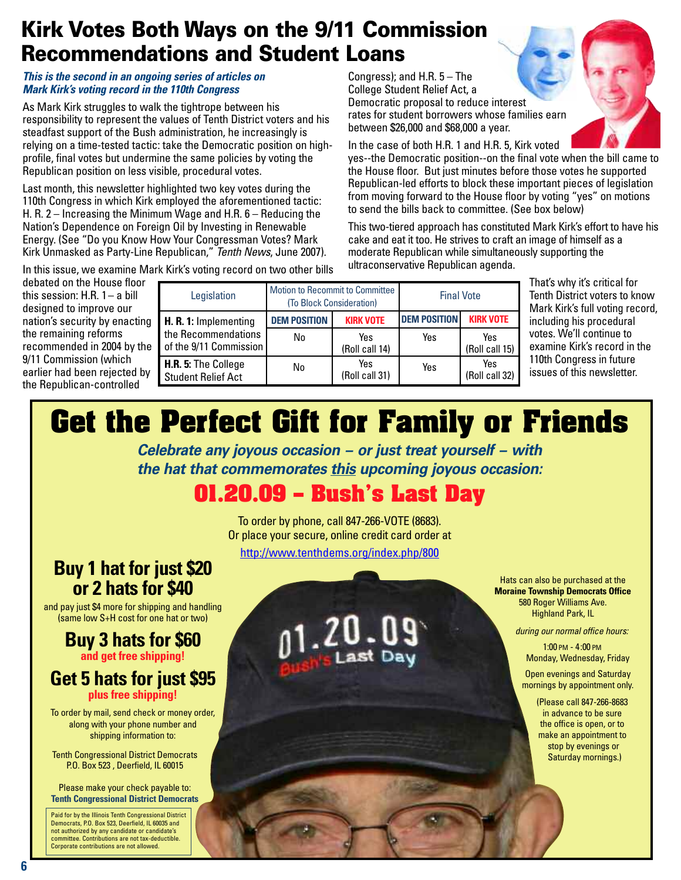# **Kirk Votes Both Ways on the 9/11 Commission Recommendations and Student Loans**

#### *This is the second in an ongoing series of articles on Mark Kirk's voting record in the 110th Congress*

As Mark Kirk struggles to walk the tightrope between his responsibility to represent the values of Tenth District voters and his steadfast support of the Bush administration, he increasingly is relying on a time-tested tactic: take the Democratic position on highprofile, final votes but undermine the same policies by voting the Republican position on less visible, procedural votes.

Last month, this newsletter highlighted two key votes during the 110th Congress in which Kirk employed the aforementioned tactic: H. R. 2 – Increasing the Minimum Wage and H.R. 6 – Reducing the Nation's Dependence on Foreign Oil by Investing in Renewable Energy. (See "Do you Know How Your Congressman Votes? Mark Kirk Unmasked as Party-Line Republican," *Tenth News*, June 2007).

In this issue, we examine Mark Kirk's voting record on two other bills

debated on the House floor this session:  $H.R. 1 - a$  bill designed to improve our nation's security by enacting the remaining reforms recommended in 2004 by the 9/11 Commission (which earlier had been rejected by the Republican-controlled

| Legislation                                      | Motion to Recommit to Committee<br>(To Block Consideration) |                       | <b>Final Vote</b>   |                       |
|--------------------------------------------------|-------------------------------------------------------------|-----------------------|---------------------|-----------------------|
| H. R. 1: Implementing                            | <b>DEM POSITION</b>                                         | <b>KIRK VOTE</b>      | <b>DEM POSITION</b> | <b>KIRK VOTE</b>      |
| the Recommendations<br>of the 9/11 Commission    | No                                                          | Yes<br>(Roll call 14) | Yes                 | Yes<br>(Roll call 15) |
| H.R. 5: The College<br><b>Student Relief Act</b> | No                                                          | Yes<br>(Roll call 31) | Yes                 | Yes<br>(Roll call 32) |

Congress); and H.R. 5 – The College Student Relief Act, a

Democratic proposal to reduce interest

between \$26,000 and \$68,000 a year.

ultraconservative Republican agenda.

rates for student borrowers whose families earn

In the case of both H.R. 1 and H.R. 5, Kirk voted

to send the bills back to committee. (See box below)

yes--the Democratic position--on the final vote when the bill came to the House floor. But just minutes before those votes he supported Republican-led efforts to block these important pieces of legislation from moving forward to the House floor by voting "yes" on motions

This two-tiered approach has constituted Mark Kirk's effort to have his cake and eat it too. He strives to craft an image of himself as a moderate Republican while simultaneously supporting the

> That's why it's critical for Tenth District voters to know Mark Kirk's full voting record, including his procedural votes. We'll continue to examine Kirk's record in the 110th Congress in future issues of this newsletter.

# **Get the Perfect Gift for Family or Friends**

*Celebrate any joyous occasion – or just treat yourself – with the hat that commemorates this upcoming joyous occasion:*

# **01.20.09 – Bush's Last Day**

To order by phone, call 847-266-VOTE (8683). Or place your secure, online credit card order at

<http://www.tenthdems.org/index.php/800>

# **Buy 1 hat for just \$20 or 2 hats for \$40**

and pay just \$4 more for shipping and handling (same low S+H cost for one hat or two)

### **Buy 3 hats for \$60 and get free shipping!**

### **Get 5 hats for just \$95 plus free shipping!**

To order by mail, send check or money order, along with your phone number and shipping information to:

Tenth Congressional District Democrats P.O. Box 523 , Deerfield, IL 60015

Please make your check payable to: **Tenth Congressional District Democrats**

Paid for by the Illinois Tenth Congressional District Democrats, P.O. Box 523, Deerfield, IL 60035 and not authorized by any candidate or candidate's mittee. Contributions are not tax-deductible. Corporate contributions are not allowed.

Hats can also be purchased at the **Moraine Township Democrats Office** 580 Roger Williams Ave. Highland Park, IL

*during our normal office hours:*

1:00 PM - 4:00 PM Monday, Wednesday, Friday

Open evenings and Saturday mornings by appointment only.

> (Please call 847-266-8683 in advance to be sure the office is open, or to make an appointment to stop by evenings or Saturday mornings.)

**6**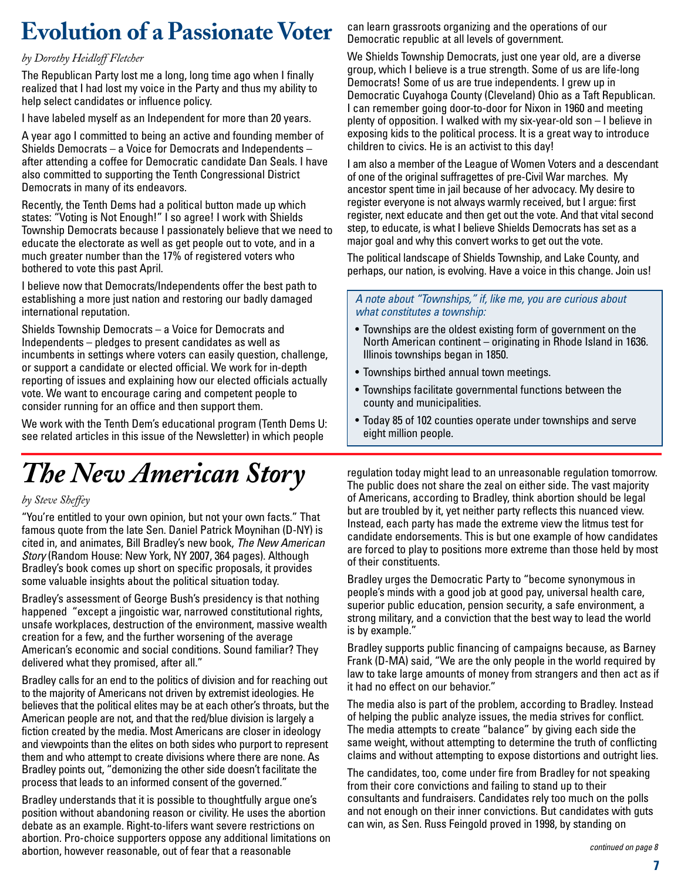# **Evolution of a Passionate Voter**

#### *by Dorothy Heidloff Fletcher*

The Republican Party lost me a long, long time ago when I finally realized that I had lost my voice in the Party and thus my ability to help select candidates or influence policy.

I have labeled myself as an Independent for more than 20 years.

A year ago I committed to being an active and founding member of Shields Democrats – a Voice for Democrats and Independents – after attending a coffee for Democratic candidate Dan Seals. I have also committed to supporting the Tenth Congressional District Democrats in many of its endeavors.

Recently, the Tenth Dems had a political button made up which states: "Voting is Not Enough!" I so agree! I work with Shields Township Democrats because I passionately believe that we need to educate the electorate as well as get people out to vote, and in a much greater number than the 17% of registered voters who bothered to vote this past April.

I believe now that Democrats/Independents offer the best path to establishing a more just nation and restoring our badly damaged international reputation.

Shields Township Democrats – a Voice for Democrats and Independents – pledges to present candidates as well as incumbents in settings where voters can easily question, challenge, or support a candidate or elected official. We work for in-depth reporting of issues and explaining how our elected officials actually vote. We want to encourage caring and competent people to consider running for an office and then support them.

We work with the Tenth Dem's educational program (Tenth Dems U: see related articles in this issue of the Newsletter) in which people

# *The New American Story*

#### *by Steve Sheffey*

"You're entitled to your own opinion, but not your own facts." That famous quote from the late Sen. Daniel Patrick Moynihan (D-NY) is cited in, and animates, Bill Bradley's new book, *The New American Story* (Random House: New York, NY 2007, 364 pages). Although Bradley's book comes up short on specific proposals, it provides some valuable insights about the political situation today.

Bradley's assessment of George Bush's presidency is that nothing happened "except a jingoistic war, narrowed constitutional rights, unsafe workplaces, destruction of the environment, massive wealth creation for a few, and the further worsening of the average American's economic and social conditions. Sound familiar? They delivered what they promised, after all."

Bradley calls for an end to the politics of division and for reaching out to the majority of Americans not driven by extremist ideologies. He believes that the political elites may be at each other's throats, but the American people are not, and that the red/blue division is largely a fiction created by the media. Most Americans are closer in ideology and viewpoints than the elites on both sides who purport to represent them and who attempt to create divisions where there are none. As Bradley points out, "demonizing the other side doesn't facilitate the process that leads to an informed consent of the governed."

Bradley understands that it is possible to thoughtfully argue one's position without abandoning reason or civility. He uses the abortion debate as an example. Right-to-lifers want severe restrictions on abortion. Pro-choice supporters oppose any additional limitations on abortion, however reasonable, out of fear that a reasonable

can learn grassroots organizing and the operations of our Democratic republic at all levels of government.

We Shields Township Democrats, just one year old, are a diverse group, which I believe is a true strength. Some of us are life-long Democrats! Some of us are true independents. I grew up in Democratic Cuyahoga County (Cleveland) Ohio as a Taft Republican. I can remember going door-to-door for Nixon in 1960 and meeting plenty of opposition. I walked with my six-year-old son – I believe in exposing kids to the political process. It is a great way to introduce children to civics. He is an activist to this day!

I am also a member of the League of Women Voters and a descendant of one of the original suffragettes of pre-Civil War marches. My ancestor spent time in jail because of her advocacy. My desire to register everyone is not always warmly received, but I argue: first register, next educate and then get out the vote. And that vital second step, to educate, is what I believe Shields Democrats has set as a major goal and why this convert works to get out the vote.

The political landscape of Shields Township, and Lake County, and perhaps, our nation, is evolving. Have a voice in this change. Join us!

#### *A note about "Townships," if, like me, you are curious about what constitutes a township:*

- Townships are the oldest existing form of government on the North American continent – originating in Rhode Island in 1636. Illinois townships began in 1850.
- Townships birthed annual town meetings.
- Townships facilitate governmental functions between the county and municipalities.
- Today 85 of 102 counties operate under townships and serve eight million people.

regulation today might lead to an unreasonable regulation tomorrow. The public does not share the zeal on either side. The vast majority of Americans, according to Bradley, think abortion should be legal but are troubled by it, yet neither party reflects this nuanced view. Instead, each party has made the extreme view the litmus test for candidate endorsements. This is but one example of how candidates are forced to play to positions more extreme than those held by most of their constituents.

Bradley urges the Democratic Party to "become synonymous in people's minds with a good job at good pay, universal health care, superior public education, pension security, a safe environment, a strong military, and a conviction that the best way to lead the world is by example."

Bradley supports public financing of campaigns because, as Barney Frank (D-MA) said, "We are the only people in the world required by law to take large amounts of money from strangers and then act as if it had no effect on our behavior."

The media also is part of the problem, according to Bradley. Instead of helping the public analyze issues, the media strives for conflict. The media attempts to create "balance" by giving each side the same weight, without attempting to determine the truth of conflicting claims and without attempting to expose distortions and outright lies.

The candidates, too, come under fire from Bradley for not speaking from their core convictions and failing to stand up to their consultants and fundraisers. Candidates rely too much on the polls and not enough on their inner convictions. But candidates with guts can win, as Sen. Russ Feingold proved in 1998, by standing on